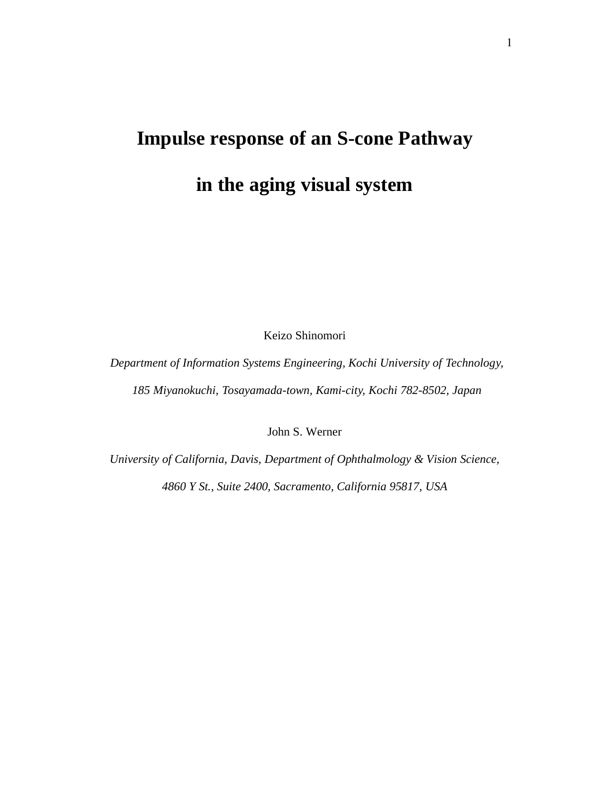# **Impulse response of an S-cone Pathway**

# **in the aging visual system**

Keizo Shinomori

*Department of Information Systems Engineering, Kochi University of Technology, 185 Miyanokuchi, Tosayamada-town, Kami-city, Kochi 782-8502, Japan* 

John S. Werner

*University of California, Davis, Department of Ophthalmology & Vision Science,* 

*4860 Y St., Suite 2400, Sacramento, California 95817, USA*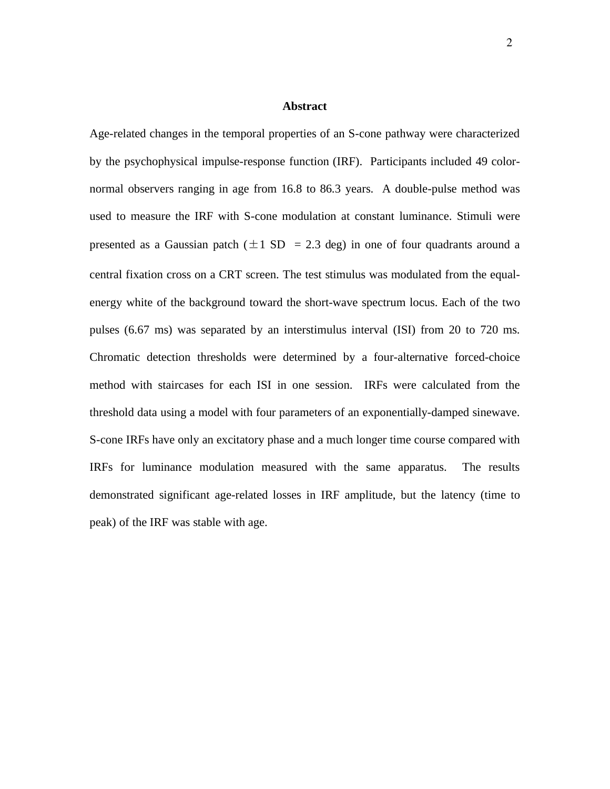#### **Abstract**

Age-related changes in the temporal properties of an S-cone pathway were characterized by the psychophysical impulse-response function (IRF). Participants included 49 colornormal observers ranging in age from 16.8 to 86.3 years. A double-pulse method was used to measure the IRF with S-cone modulation at constant luminance. Stimuli were presented as a Gaussian patch ( $\pm 1$  SD = 2.3 deg) in one of four quadrants around a central fixation cross on a CRT screen. The test stimulus was modulated from the equalenergy white of the background toward the short-wave spectrum locus. Each of the two pulses (6.67 ms) was separated by an interstimulus interval (ISI) from 20 to 720 ms. Chromatic detection thresholds were determined by a four-alternative forced-choice method with staircases for each ISI in one session. IRFs were calculated from the threshold data using a model with four parameters of an exponentially-damped sinewave. S-cone IRFs have only an excitatory phase and a much longer time course compared with IRFs for luminance modulation measured with the same apparatus. The results demonstrated significant age-related losses in IRF amplitude, but the latency (time to peak) of the IRF was stable with age.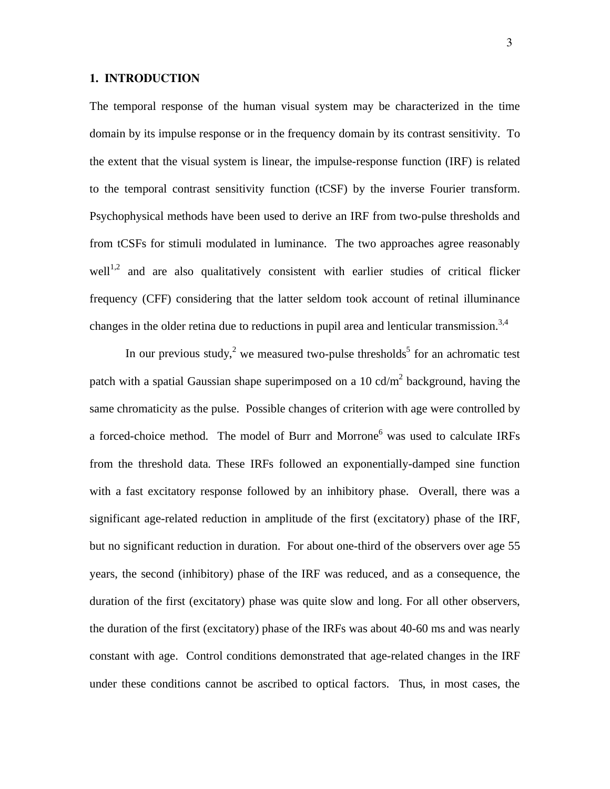#### **1. INTRODUCTION**

The temporal response of the human visual system may be characterized in the time domain by its impulse response or in the frequency domain by its contrast sensitivity. To the extent that the visual system is linear, the impulse-response function (IRF) is related to the temporal contrast sensitivity function (tCSF) by the inverse Fourier transform. Psychophysical methods have been used to derive an IRF from two-pulse thresholds and from tCSFs for stimuli modulated in luminance. The two approaches agree reasonably  $well<sup>1,2</sup>$  and are also qualitatively consistent with earlier studies of critical flicker frequency (CFF) considering that the latter seldom took account of retinal illuminance changes in the older retina due to reductions in pupil area and lenticular transmission.<sup>3,4</sup>

In our previous study,<sup>2</sup> we measured two-pulse thresholds<sup>5</sup> for an achromatic test patch with a spatial Gaussian shape superimposed on a 10 cd/ $m<sup>2</sup>$  background, having the same chromaticity as the pulse. Possible changes of criterion with age were controlled by a forced-choice method. The model of Burr and Morrone<sup>6</sup> was used to calculate IRFs from the threshold data. These IRFs followed an exponentially-damped sine function with a fast excitatory response followed by an inhibitory phase. Overall, there was a significant age-related reduction in amplitude of the first (excitatory) phase of the IRF, but no significant reduction in duration. For about one-third of the observers over age 55 years, the second (inhibitory) phase of the IRF was reduced, and as a consequence, the duration of the first (excitatory) phase was quite slow and long. For all other observers, the duration of the first (excitatory) phase of the IRFs was about 40-60 ms and was nearly constant with age. Control conditions demonstrated that age-related changes in the IRF under these conditions cannot be ascribed to optical factors. Thus, in most cases, the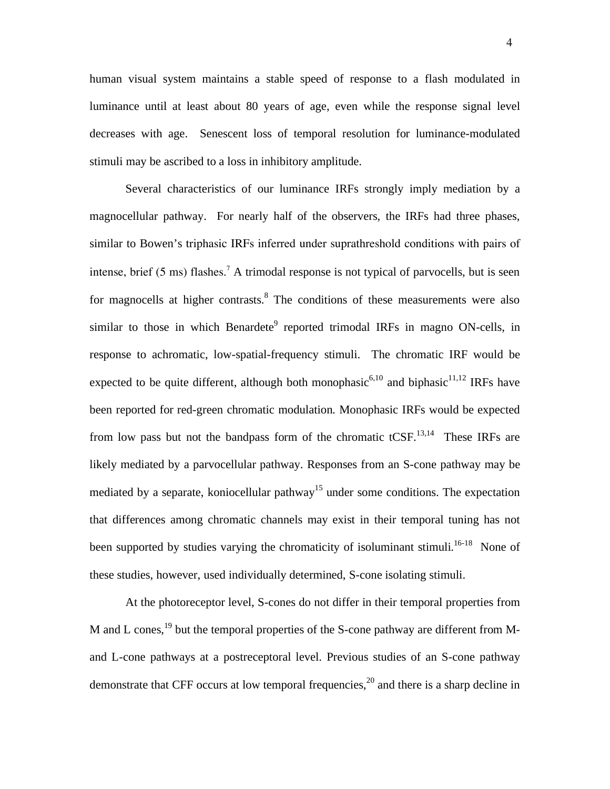human visual system maintains a stable speed of response to a flash modulated in luminance until at least about 80 years of age, even while the response signal level decreases with age. Senescent loss of temporal resolution for luminance-modulated stimuli may be ascribed to a loss in inhibitory amplitude.

 Several characteristics of our luminance IRFs strongly imply mediation by a magnocellular pathway. For nearly half of the observers, the IRFs had three phases, similar to Bowen's triphasic IRFs inferred under suprathreshold conditions with pairs of intense, brief  $(5 \text{ ms})$  flashes.<sup>7</sup> A trimodal response is not typical of parvocells, but is seen for magnocells at higher contrasts.<sup>8</sup> The conditions of these measurements were also similar to those in which Benardete<sup>9</sup> reported trimodal IRFs in magno ON-cells, in response to achromatic, low-spatial-frequency stimuli. The chromatic IRF would be expected to be quite different, although both monophasic<sup>6,10</sup> and biphasic<sup>11,12</sup> IRFs have been reported for red-green chromatic modulation. Monophasic IRFs would be expected from low pass but not the bandpass form of the chromatic  $tCSF$ <sup>13,14</sup>. These IRFs are likely mediated by a parvocellular pathway. Responses from an S-cone pathway may be mediated by a separate, koniocellular pathway<sup>15</sup> under some conditions. The expectation that differences among chromatic channels may exist in their temporal tuning has not been supported by studies varying the chromaticity of isoluminant stimuli.<sup>16-18</sup> None of these studies, however, used individually determined, S-cone isolating stimuli.

 At the photoreceptor level, S-cones do not differ in their temporal properties from M and L cones,<sup>19</sup> but the temporal properties of the S-cone pathway are different from Mand L-cone pathways at a postreceptoral level. Previous studies of an S-cone pathway demonstrate that CFF occurs at low temporal frequencies,<sup>20</sup> and there is a sharp decline in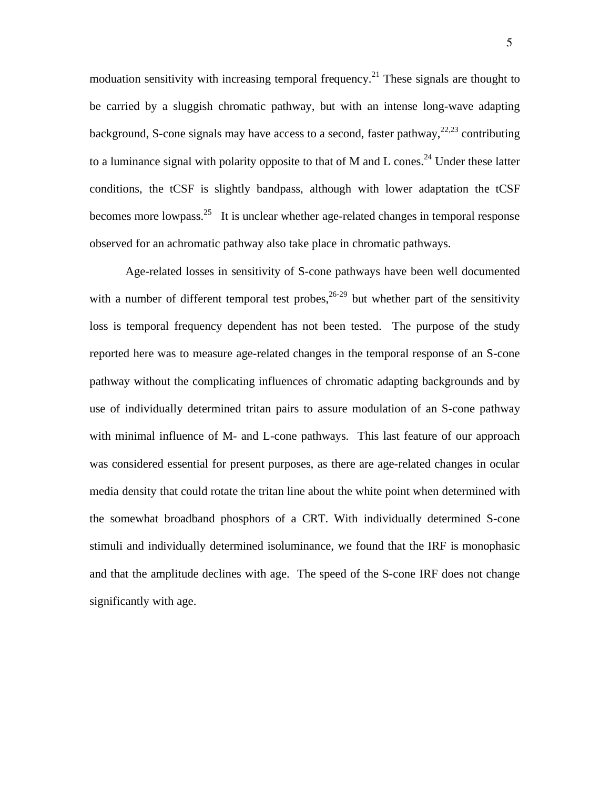moduation sensitivity with increasing temporal frequency.<sup>21</sup> These signals are thought to be carried by a sluggish chromatic pathway, but with an intense long-wave adapting background, S-cone signals may have access to a second, faster pathway,  $22,23$  contributing to a luminance signal with polarity opposite to that of M and L cones.<sup>24</sup> Under these latter conditions, the tCSF is slightly bandpass, although with lower adaptation the tCSF becomes more lowpass.<sup>25</sup> It is unclear whether age-related changes in temporal response observed for an achromatic pathway also take place in chromatic pathways.

 Age-related losses in sensitivity of S-cone pathways have been well documented with a number of different temporal test probes,  $26-29$  but whether part of the sensitivity loss is temporal frequency dependent has not been tested. The purpose of the study reported here was to measure age-related changes in the temporal response of an S-cone pathway without the complicating influences of chromatic adapting backgrounds and by use of individually determined tritan pairs to assure modulation of an S-cone pathway with minimal influence of M- and L-cone pathways. This last feature of our approach was considered essential for present purposes, as there are age-related changes in ocular media density that could rotate the tritan line about the white point when determined with the somewhat broadband phosphors of a CRT. With individually determined S-cone stimuli and individually determined isoluminance, we found that the IRF is monophasic and that the amplitude declines with age. The speed of the S-cone IRF does not change significantly with age.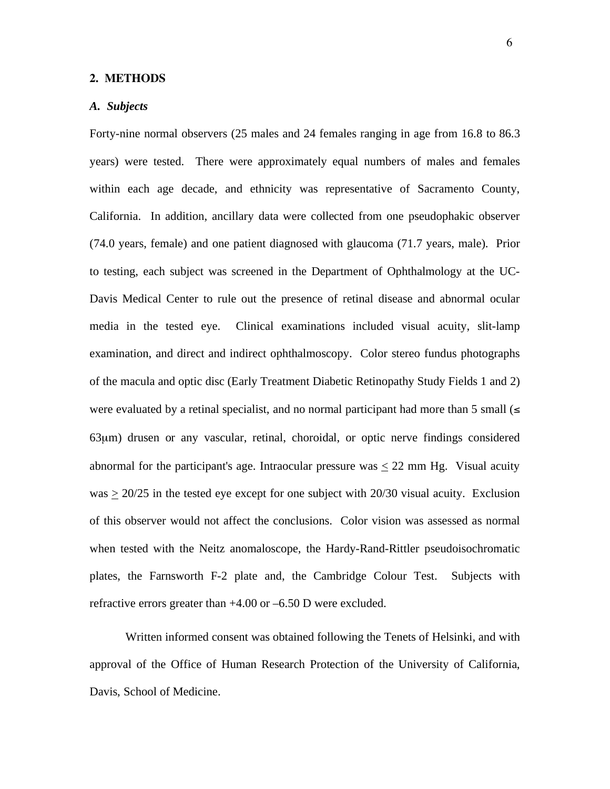#### **2. METHODS**

#### *A. Subjects*

Forty-nine normal observers (25 males and 24 females ranging in age from 16.8 to 86.3 years) were tested. There were approximately equal numbers of males and females within each age decade, and ethnicity was representative of Sacramento County, California. In addition, ancillary data were collected from one pseudophakic observer (74.0 years, female) and one patient diagnosed with glaucoma (71.7 years, male). Prior to testing, each subject was screened in the Department of Ophthalmology at the UC-Davis Medical Center to rule out the presence of retinal disease and abnormal ocular media in the tested eye. Clinical examinations included visual acuity, slit-lamp examination, and direct and indirect ophthalmoscopy. Color stereo fundus photographs of the macula and optic disc (Early Treatment Diabetic Retinopathy Study Fields 1 and 2) were evaluated by a retinal specialist, and no normal participant had more than 5 small  $\leq$ 63μm) drusen or any vascular, retinal, choroidal, or optic nerve findings considered abnormal for the participant's age. Intraocular pressure was  $\leq 22$  mm Hg. Visual acuity was > 20/25 in the tested eye except for one subject with 20/30 visual acuity. Exclusion of this observer would not affect the conclusions. Color vision was assessed as normal when tested with the Neitz anomaloscope, the Hardy-Rand-Rittler pseudoisochromatic plates, the Farnsworth F-2 plate and, the Cambridge Colour Test. Subjects with refractive errors greater than +4.00 or –6.50 D were excluded.

 Written informed consent was obtained following the Tenets of Helsinki, and with approval of the Office of Human Research Protection of the University of California, Davis, School of Medicine.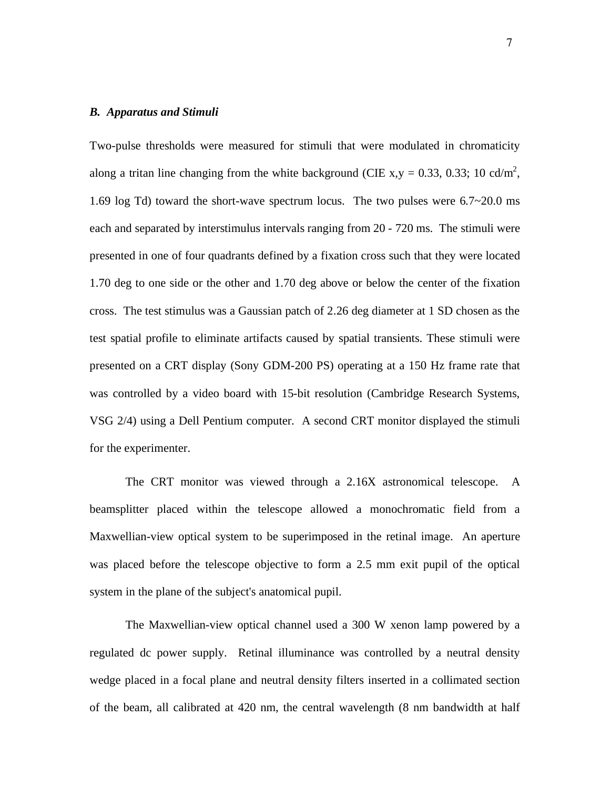#### *B. Apparatus and Stimuli*

Two-pulse thresholds were measured for stimuli that were modulated in chromaticity along a tritan line changing from the white background (CIE x,y = 0.33, 0.33; 10 cd/m<sup>2</sup>, 1.69 log Td) toward the short-wave spectrum locus. The two pulses were 6.7~20.0 ms each and separated by interstimulus intervals ranging from 20 - 720 ms. The stimuli were presented in one of four quadrants defined by a fixation cross such that they were located 1.70 deg to one side or the other and 1.70 deg above or below the center of the fixation cross. The test stimulus was a Gaussian patch of 2.26 deg diameter at 1 SD chosen as the test spatial profile to eliminate artifacts caused by spatial transients. These stimuli were presented on a CRT display (Sony GDM-200 PS) operating at a 150 Hz frame rate that was controlled by a video board with 15-bit resolution (Cambridge Research Systems, VSG 2/4) using a Dell Pentium computer. A second CRT monitor displayed the stimuli for the experimenter.

 The CRT monitor was viewed through a 2.16X astronomical telescope. A beamsplitter placed within the telescope allowed a monochromatic field from a Maxwellian-view optical system to be superimposed in the retinal image. An aperture was placed before the telescope objective to form a 2.5 mm exit pupil of the optical system in the plane of the subject's anatomical pupil.

 The Maxwellian-view optical channel used a 300 W xenon lamp powered by a regulated dc power supply. Retinal illuminance was controlled by a neutral density wedge placed in a focal plane and neutral density filters inserted in a collimated section of the beam, all calibrated at 420 nm, the central wavelength (8 nm bandwidth at half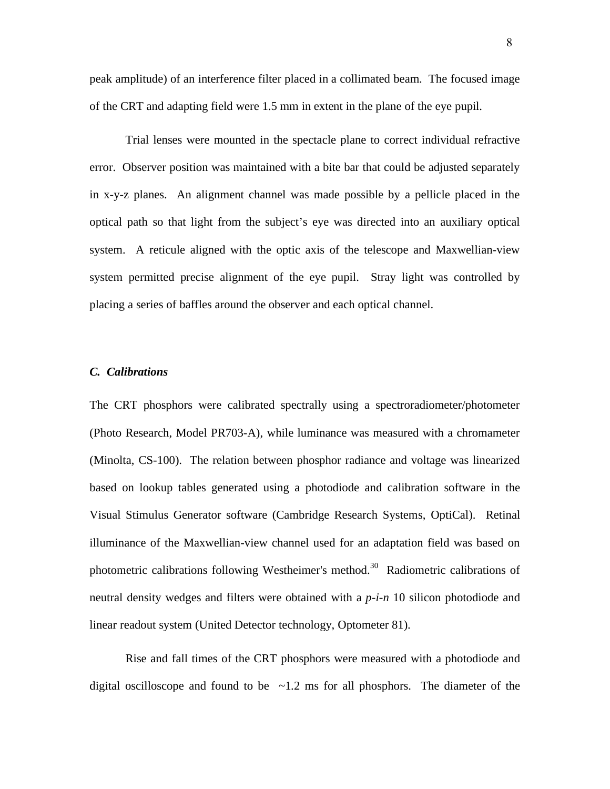peak amplitude) of an interference filter placed in a collimated beam. The focused image of the CRT and adapting field were 1.5 mm in extent in the plane of the eye pupil.

 Trial lenses were mounted in the spectacle plane to correct individual refractive error. Observer position was maintained with a bite bar that could be adjusted separately in x-y-z planes. An alignment channel was made possible by a pellicle placed in the optical path so that light from the subject's eye was directed into an auxiliary optical system. A reticule aligned with the optic axis of the telescope and Maxwellian-view system permitted precise alignment of the eye pupil. Stray light was controlled by placing a series of baffles around the observer and each optical channel.

#### *C. Calibrations*

The CRT phosphors were calibrated spectrally using a spectroradiometer/photometer (Photo Research, Model PR703-A), while luminance was measured with a chromameter (Minolta, CS-100). The relation between phosphor radiance and voltage was linearized based on lookup tables generated using a photodiode and calibration software in the Visual Stimulus Generator software (Cambridge Research Systems, OptiCal). Retinal illuminance of the Maxwellian-view channel used for an adaptation field was based on photometric calibrations following Westheimer's method.<sup>30</sup> Radiometric calibrations of neutral density wedges and filters were obtained with a *p-i-n* 10 silicon photodiode and linear readout system (United Detector technology, Optometer 81).

 Rise and fall times of the CRT phosphors were measured with a photodiode and digital oscilloscope and found to be  $\sim$ 1.2 ms for all phosphors. The diameter of the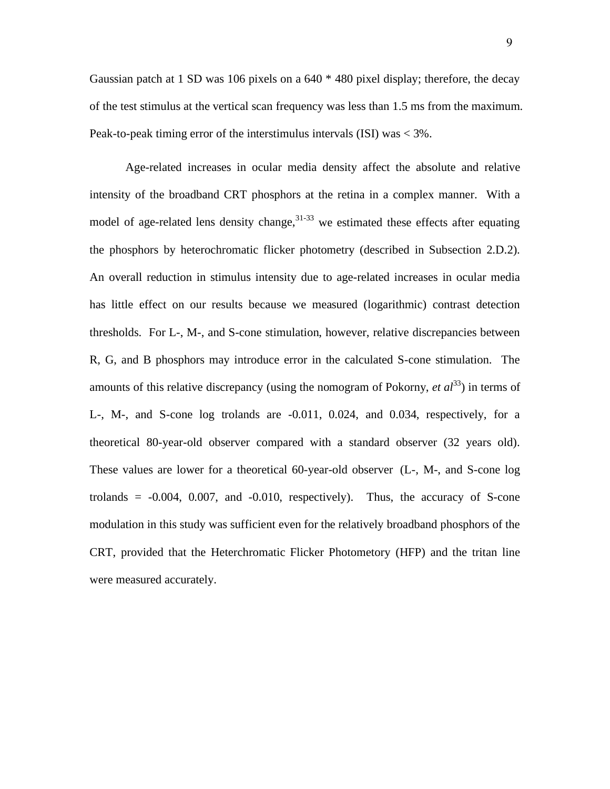Gaussian patch at 1 SD was 106 pixels on a 640 \* 480 pixel display; therefore, the decay of the test stimulus at the vertical scan frequency was less than 1.5 ms from the maximum. Peak-to-peak timing error of the interstimulus intervals (ISI) was < 3%.

 Age-related increases in ocular media density affect the absolute and relative intensity of the broadband CRT phosphors at the retina in a complex manner. With a model of age-related lens density change,  $31-33$  we estimated these effects after equating the phosphors by heterochromatic flicker photometry (described in Subsection 2.D.2). An overall reduction in stimulus intensity due to age-related increases in ocular media has little effect on our results because we measured (logarithmic) contrast detection thresholds. For L-, M-, and S-cone stimulation, however, relative discrepancies between R, G, and B phosphors may introduce error in the calculated S-cone stimulation. The amounts of this relative discrepancy (using the nomogram of Pokorny, *et al*<sup>33</sup>) in terms of L-, M-, and S-cone log trolands are -0.011, 0.024, and 0.034, respectively, for a theoretical 80-year-old observer compared with a standard observer (32 years old). These values are lower for a theoretical 60-year-old observer (L-, M-, and S-cone log trolands  $= -0.004$ , 0.007, and  $-0.010$ , respectively). Thus, the accuracy of S-cone modulation in this study was sufficient even for the relatively broadband phosphors of the CRT, provided that the Heterchromatic Flicker Photometory (HFP) and the tritan line were measured accurately.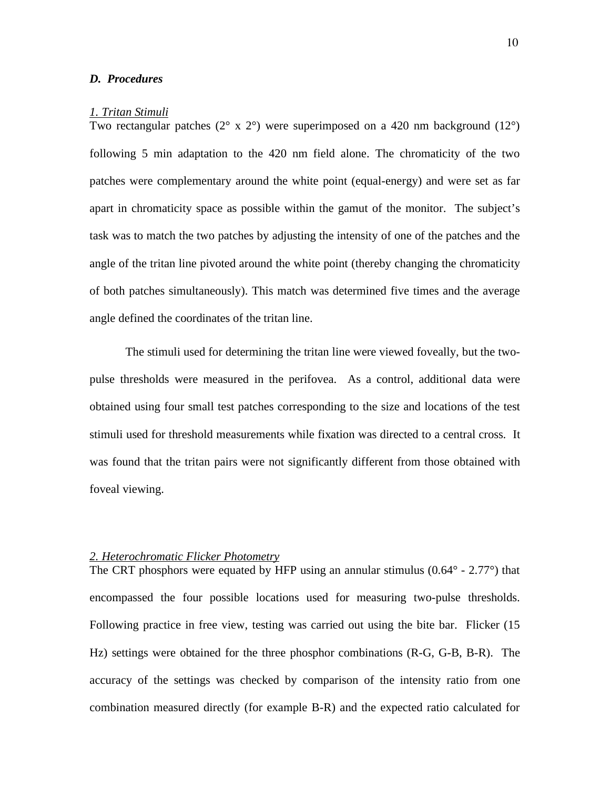# *D. Procedures*

# *1. Tritan Stimuli*

Two rectangular patches  $(2^{\circ} \times 2^{\circ})$  were superimposed on a 420 nm background  $(12^{\circ})$ following 5 min adaptation to the 420 nm field alone. The chromaticity of the two patches were complementary around the white point (equal-energy) and were set as far apart in chromaticity space as possible within the gamut of the monitor. The subject's task was to match the two patches by adjusting the intensity of one of the patches and the angle of the tritan line pivoted around the white point (thereby changing the chromaticity of both patches simultaneously). This match was determined five times and the average angle defined the coordinates of the tritan line.

 The stimuli used for determining the tritan line were viewed foveally, but the twopulse thresholds were measured in the perifovea. As a control, additional data were obtained using four small test patches corresponding to the size and locations of the test stimuli used for threshold measurements while fixation was directed to a central cross. It was found that the tritan pairs were not significantly different from those obtained with foveal viewing.

# *2. Heterochromatic Flicker Photometry*

The CRT phosphors were equated by HFP using an annular stimulus  $(0.64^{\circ} - 2.77^{\circ})$  that encompassed the four possible locations used for measuring two-pulse thresholds. Following practice in free view, testing was carried out using the bite bar. Flicker (15 Hz) settings were obtained for the three phosphor combinations (R-G, G-B, B-R). The accuracy of the settings was checked by comparison of the intensity ratio from one combination measured directly (for example B-R) and the expected ratio calculated for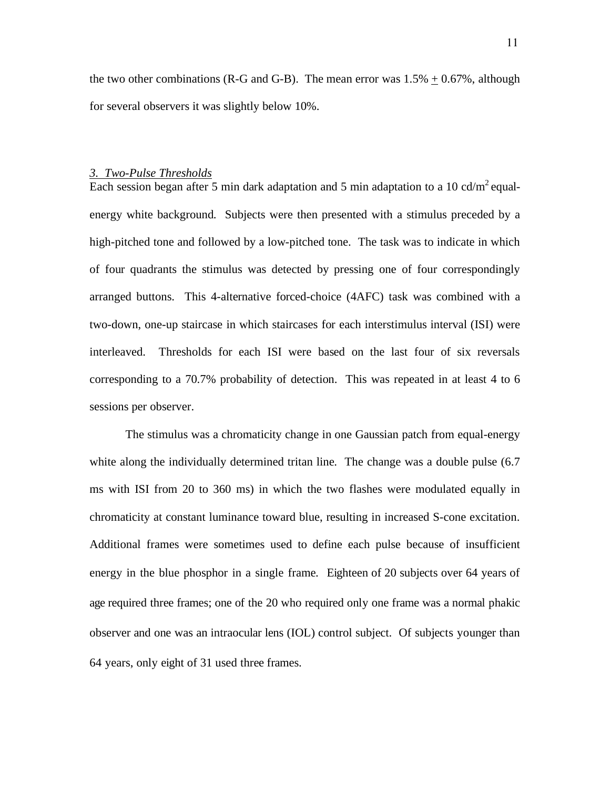the two other combinations (R-G and G-B). The mean error was  $1.5\% \pm 0.67\%$ , although for several observers it was slightly below 10%.

# *3. Two-Pulse Thresholds*

Each session began after 5 min dark adaptation and 5 min adaptation to a 10 cd/m<sup>2</sup> equalenergy white background. Subjects were then presented with a stimulus preceded by a high-pitched tone and followed by a low-pitched tone. The task was to indicate in which of four quadrants the stimulus was detected by pressing one of four correspondingly arranged buttons. This 4-alternative forced-choice (4AFC) task was combined with a two-down, one-up staircase in which staircases for each interstimulus interval (ISI) were interleaved. Thresholds for each ISI were based on the last four of six reversals corresponding to a 70.7% probability of detection. This was repeated in at least 4 to 6 sessions per observer.

 The stimulus was a chromaticity change in one Gaussian patch from equal-energy white along the individually determined tritan line. The change was a double pulse  $(6.7)$ ms with ISI from 20 to 360 ms) in which the two flashes were modulated equally in chromaticity at constant luminance toward blue, resulting in increased S-cone excitation. Additional frames were sometimes used to define each pulse because of insufficient energy in the blue phosphor in a single frame. Eighteen of 20 subjects over 64 years of age required three frames; one of the 20 who required only one frame was a normal phakic observer and one was an intraocular lens (IOL) control subject. Of subjects younger than 64 years, only eight of 31 used three frames.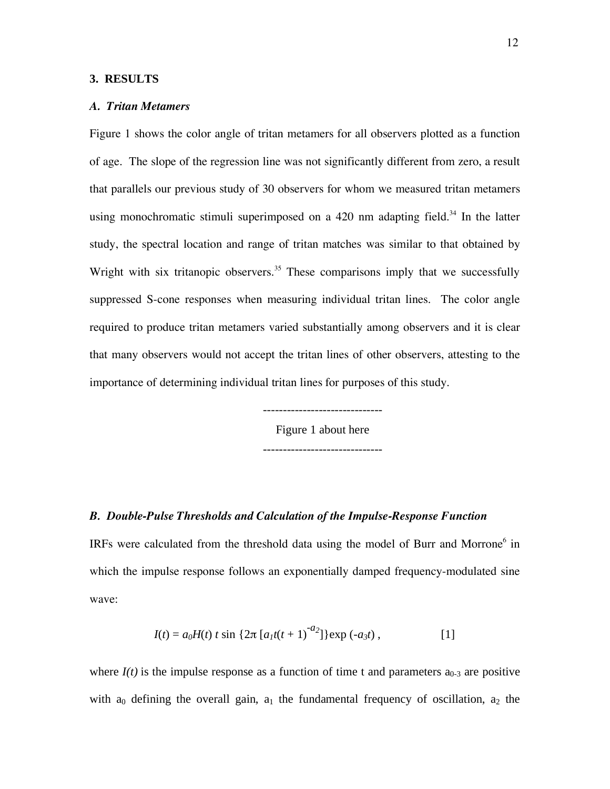#### **3. RESULTS**

# *A. Tritan Metamers*

Figure 1 shows the color angle of tritan metamers for all observers plotted as a function of age. The slope of the regression line was not significantly different from zero, a result that parallels our previous study of 30 observers for whom we measured tritan metamers using monochromatic stimuli superimposed on a 420 nm adapting field.<sup>34</sup> In the latter study, the spectral location and range of tritan matches was similar to that obtained by Wright with six tritanopic observers.<sup>35</sup> These comparisons imply that we successfully suppressed S-cone responses when measuring individual tritan lines. The color angle required to produce tritan metamers varied substantially among observers and it is clear that many observers would not accept the tritan lines of other observers, attesting to the importance of determining individual tritan lines for purposes of this study.

> ------------------------------ Figure 1 about here ------------------------------

# *B. Double-Pulse Thresholds and Calculation of the Impulse-Response Function*

IRFs were calculated from the threshold data using the model of Burr and Morrone<sup>6</sup> in which the impulse response follows an exponentially damped frequency-modulated sine wave:

$$
I(t) = a_0 H(t) t \sin \{2\pi [a_1 t(t+1)^{-a_2}]\} \exp(-a_3 t), \qquad [1]
$$

where  $I(t)$  is the impulse response as a function of time t and parameters  $a_{0-3}$  are positive with  $a_0$  defining the overall gain,  $a_1$  the fundamental frequency of oscillation,  $a_2$  the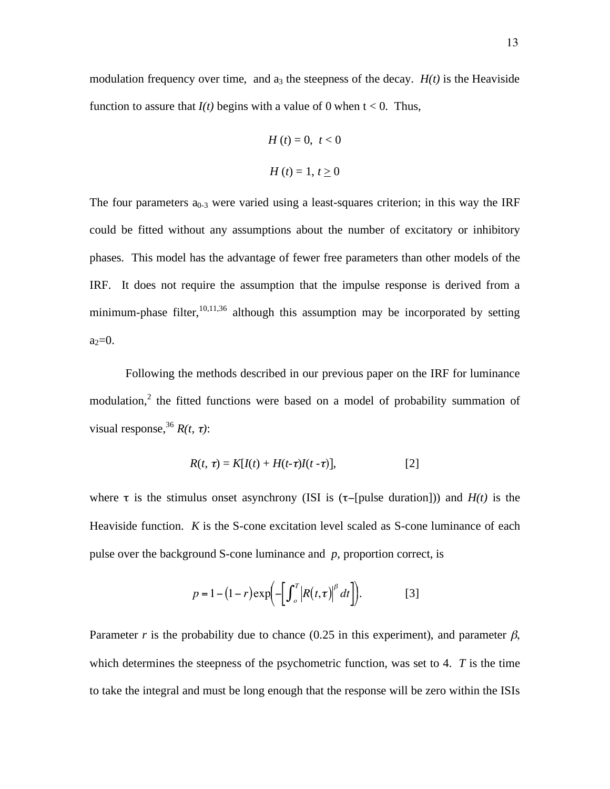$$
H(t) = 0, \ t < 0
$$

$$
H(t) = 1, \ t \ge 0
$$

The four parameters  $a_{0-3}$  were varied using a least-squares criterion; in this way the IRF could be fitted without any assumptions about the number of excitatory or inhibitory phases. This model has the advantage of fewer free parameters than other models of the IRF. It does not require the assumption that the impulse response is derived from a minimum-phase filter,  $10,11,36$  although this assumption may be incorporated by setting  $a_2=0$ .

Following the methods described in our previous paper on the IRF for luminance modulation,<sup>2</sup> the fitted functions were based on a model of probability summation of visual response,  $^{36}R(t, \tau)$ :

$$
R(t, \tau) = K[I(t) + H(t-\tau)I(t-\tau)], \qquad [2]
$$

where  $\tau$  is the stimulus onset asynchrony (ISI is  $(\tau$ -[pulse duration])) and  $H(t)$  is the Heaviside function. *K* is the S-cone excitation level scaled as S-cone luminance of each pulse over the background S-cone luminance and *p*, proportion correct, is

$$
p = 1 - (1 - r) \exp\left(-\left[\int_{o}^{T} \left|R(t, \tau)\right|^{\beta} dt\right]\right).
$$
 [3]

Parameter *r* is the probability due to chance (0.25 in this experiment), and parameter  $\beta$ , which determines the steepness of the psychometric function, was set to 4. *T* is the time to take the integral and must be long enough that the response will be zero within the ISIs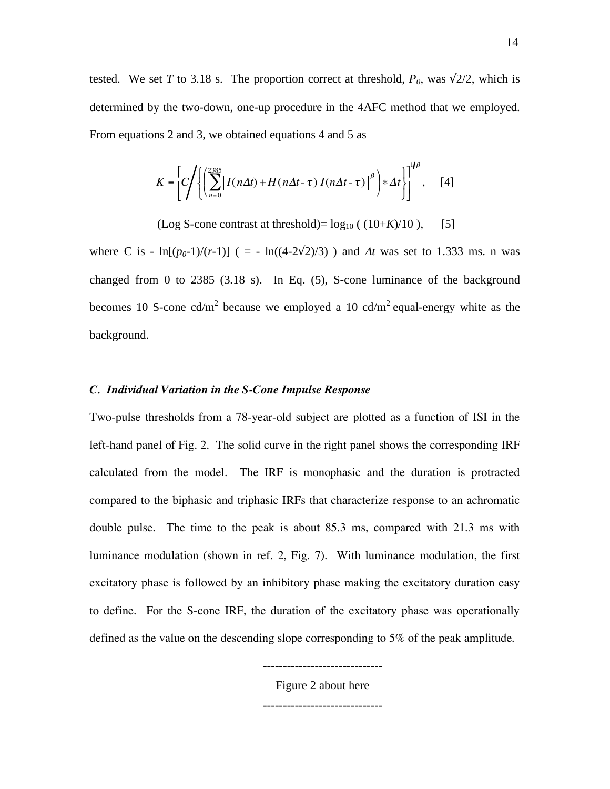tested. We set *T* to 3.18 s. The proportion correct at threshold,  $P_0$ , was  $\sqrt{2}/2$ , which is determined by the two-down, one-up procedure in the 4AFC method that we employed. From equations 2 and 3, we obtained equations 4 and 5 as

$$
K = \left[ C \middle/ \left\{ \left( \sum_{n=0}^{2385} \left[ I(n\Delta t) + H(n\Delta t - \tau) I(n\Delta t - \tau) \right]^{\beta} \right) * \Delta t \right\} \right]^{1/\beta}, \quad [4]
$$

(Log S-cone contrast at threshold)=  $log_{10}$  ( $(10+*K*)/10$ ), [5]

where C is -  $\ln[(p_0-1)/(r-1)]$  ( = -  $\ln((4-2\sqrt{2})/3)$  ) and  $\Delta t$  was set to 1.333 ms. n was changed from 0 to  $2385$  (3.18 s). In Eq. (5), S-cone luminance of the background becomes 10 S-cone cd/m<sup>2</sup> because we employed a 10 cd/m<sup>2</sup> equal-energy white as the background.

# *C. Individual Variation in the S-Cone Impulse Response*

Two-pulse thresholds from a 78-year-old subject are plotted as a function of ISI in the left-hand panel of Fig. 2. The solid curve in the right panel shows the corresponding IRF calculated from the model. The IRF is monophasic and the duration is protracted compared to the biphasic and triphasic IRFs that characterize response to an achromatic double pulse. The time to the peak is about 85.3 ms, compared with 21.3 ms with luminance modulation (shown in ref. 2, Fig. 7). With luminance modulation, the first excitatory phase is followed by an inhibitory phase making the excitatory duration easy to define. For the S-cone IRF, the duration of the excitatory phase was operationally defined as the value on the descending slope corresponding to 5% of the peak amplitude.

> ------------------------------ Figure 2 about here

> ------------------------------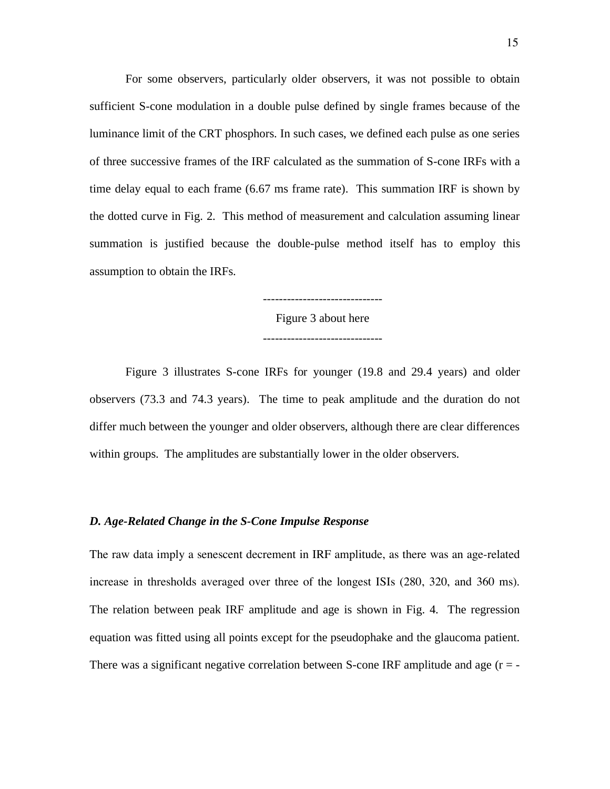For some observers, particularly older observers, it was not possible to obtain sufficient S-cone modulation in a double pulse defined by single frames because of the luminance limit of the CRT phosphors. In such cases, we defined each pulse as one series of three successive frames of the IRF calculated as the summation of S-cone IRFs with a time delay equal to each frame (6.67 ms frame rate). This summation IRF is shown by the dotted curve in Fig. 2. This method of measurement and calculation assuming linear summation is justified because the double-pulse method itself has to employ this assumption to obtain the IRFs.

Figure 3 about here

 Figure 3 illustrates S-cone IRFs for younger (19.8 and 29.4 years) and older observers (73.3 and 74.3 years). The time to peak amplitude and the duration do not differ much between the younger and older observers, although there are clear differences within groups. The amplitudes are substantially lower in the older observers.

# *D. Age-Related Change in the S-Cone Impulse Response*

The raw data imply a senescent decrement in IRF amplitude, as there was an age-related increase in thresholds averaged over three of the longest ISIs (280, 320, and 360 ms). The relation between peak IRF amplitude and age is shown in Fig. 4. The regression equation was fitted using all points except for the pseudophake and the glaucoma patient. There was a significant negative correlation between S-cone IRF amplitude and age  $(r = -1)$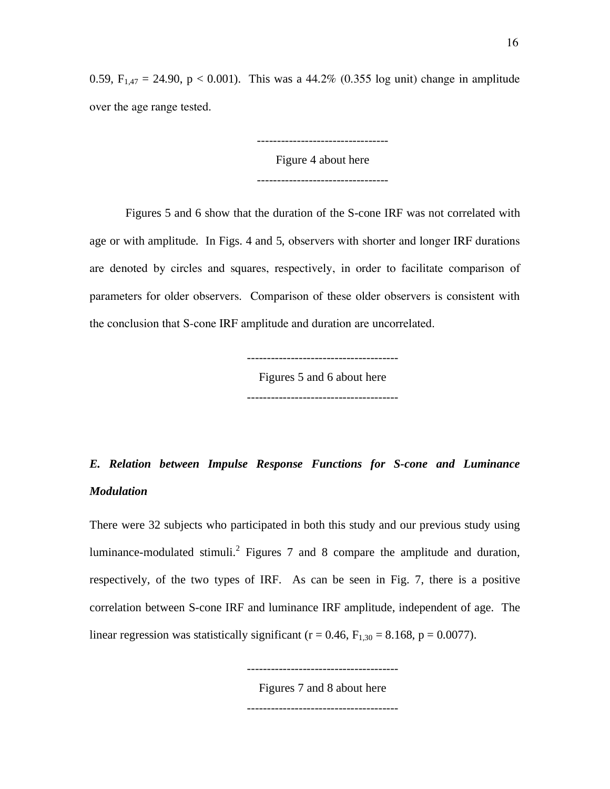0.59,  $F_{1,47} = 24.90$ ,  $p < 0.001$ ). This was a 44.2% (0.355 log unit) change in amplitude over the age range tested.

Figure 4 about here

---------------------------------

---------------------------------

Figures 5 and 6 show that the duration of the S-cone IRF was not correlated with age or with amplitude. In Figs. 4 and 5, observers with shorter and longer IRF durations are denoted by circles and squares, respectively, in order to facilitate comparison of parameters for older observers. Comparison of these older observers is consistent with the conclusion that S-cone IRF amplitude and duration are uncorrelated.

> Figures 5 and 6 about here --------------------------------------

# *E. Relation between Impulse Response Functions for S-cone and Luminance Modulation*

There were 32 subjects who participated in both this study and our previous study using luminance-modulated stimuli.<sup>2</sup> Figures 7 and 8 compare the amplitude and duration, respectively, of the two types of IRF. As can be seen in Fig. 7, there is a positive correlation between S-cone IRF and luminance IRF amplitude, independent of age. The linear regression was statistically significant ( $r = 0.46$ ,  $F_{1,30} = 8.168$ ,  $p = 0.0077$ ).

--------------------------------------

Figures 7 and 8 about here --------------------------------------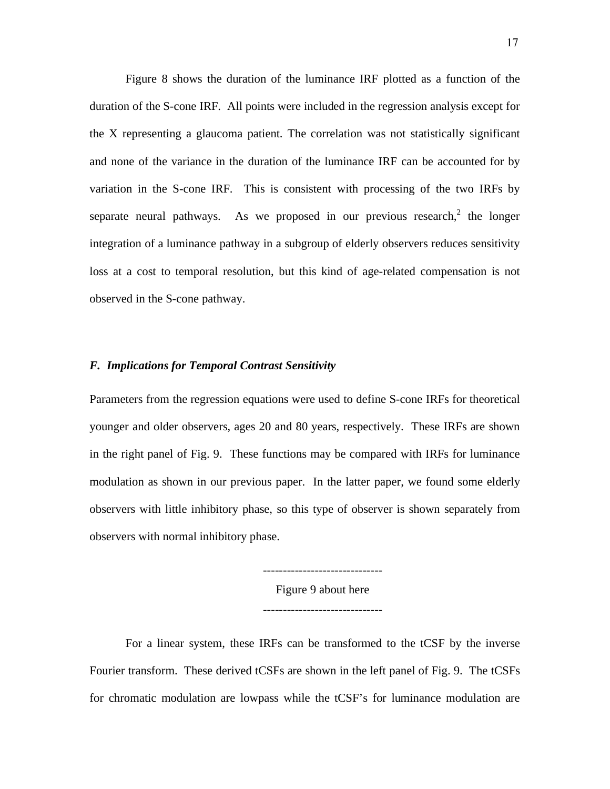Figure 8 shows the duration of the luminance IRF plotted as a function of the duration of the S-cone IRF. All points were included in the regression analysis except for the X representing a glaucoma patient. The correlation was not statistically significant and none of the variance in the duration of the luminance IRF can be accounted for by variation in the S-cone IRF. This is consistent with processing of the two IRFs by separate neural pathways. As we proposed in our previous research,<sup>2</sup> the longer integration of a luminance pathway in a subgroup of elderly observers reduces sensitivity loss at a cost to temporal resolution, but this kind of age-related compensation is not observed in the S-cone pathway.

# *F. Implications for Temporal Contrast Sensitivity*

Parameters from the regression equations were used to define S-cone IRFs for theoretical younger and older observers, ages 20 and 80 years, respectively. These IRFs are shown in the right panel of Fig. 9. These functions may be compared with IRFs for luminance modulation as shown in our previous paper. In the latter paper, we found some elderly observers with little inhibitory phase, so this type of observer is shown separately from observers with normal inhibitory phase.

> Figure 9 about here ------------------------------

------------------------------

For a linear system, these IRFs can be transformed to the tCSF by the inverse Fourier transform. These derived tCSFs are shown in the left panel of Fig. 9. The tCSFs for chromatic modulation are lowpass while the tCSF's for luminance modulation are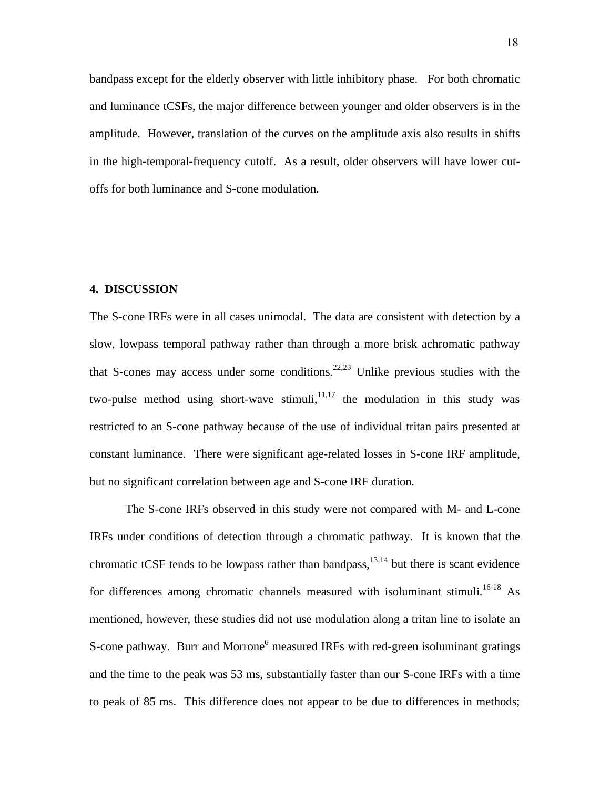bandpass except for the elderly observer with little inhibitory phase. For both chromatic and luminance tCSFs, the major difference between younger and older observers is in the amplitude. However, translation of the curves on the amplitude axis also results in shifts in the high-temporal-frequency cutoff. As a result, older observers will have lower cutoffs for both luminance and S-cone modulation.

#### **4. DISCUSSION**

The S-cone IRFs were in all cases unimodal. The data are consistent with detection by a slow, lowpass temporal pathway rather than through a more brisk achromatic pathway that S-cones may access under some conditions.<sup>22,23</sup> Unlike previous studies with the two-pulse method using short-wave stimuli, $11,17$  the modulation in this study was restricted to an S-cone pathway because of the use of individual tritan pairs presented at constant luminance. There were significant age-related losses in S-cone IRF amplitude, but no significant correlation between age and S-cone IRF duration.

 The S-cone IRFs observed in this study were not compared with M- and L-cone IRFs under conditions of detection through a chromatic pathway. It is known that the chromatic tCSF tends to be lowpass rather than bandpass, $13,14$  but there is scant evidence for differences among chromatic channels measured with isoluminant stimuli.<sup>16-18</sup> As mentioned, however, these studies did not use modulation along a tritan line to isolate an S-cone pathway. Burr and Morrone<sup>6</sup> measured IRFs with red-green isoluminant gratings and the time to the peak was 53 ms, substantially faster than our S-cone IRFs with a time to peak of 85 ms. This difference does not appear to be due to differences in methods;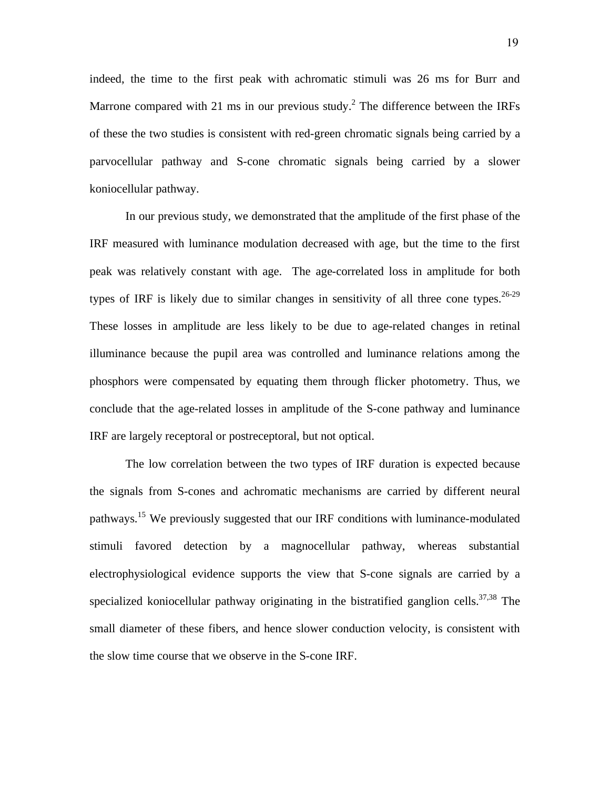indeed, the time to the first peak with achromatic stimuli was 26 ms for Burr and Marrone compared with 21 ms in our previous study.<sup>2</sup> The difference between the IRFs of these the two studies is consistent with red-green chromatic signals being carried by a parvocellular pathway and S-cone chromatic signals being carried by a slower koniocellular pathway.

 In our previous study, we demonstrated that the amplitude of the first phase of the IRF measured with luminance modulation decreased with age, but the time to the first peak was relatively constant with age. The age-correlated loss in amplitude for both types of IRF is likely due to similar changes in sensitivity of all three cone types.<sup>26-29</sup> These losses in amplitude are less likely to be due to age-related changes in retinal illuminance because the pupil area was controlled and luminance relations among the phosphors were compensated by equating them through flicker photometry. Thus, we conclude that the age-related losses in amplitude of the S-cone pathway and luminance IRF are largely receptoral or postreceptoral, but not optical.

The low correlation between the two types of IRF duration is expected because the signals from S-cones and achromatic mechanisms are carried by different neural pathways.<sup>15</sup> We previously suggested that our IRF conditions with luminance-modulated stimuli favored detection by a magnocellular pathway, whereas substantial electrophysiological evidence supports the view that S-cone signals are carried by a specialized koniocellular pathway originating in the bistratified ganglion cells. $37,38$  The small diameter of these fibers, and hence slower conduction velocity, is consistent with the slow time course that we observe in the S-cone IRF.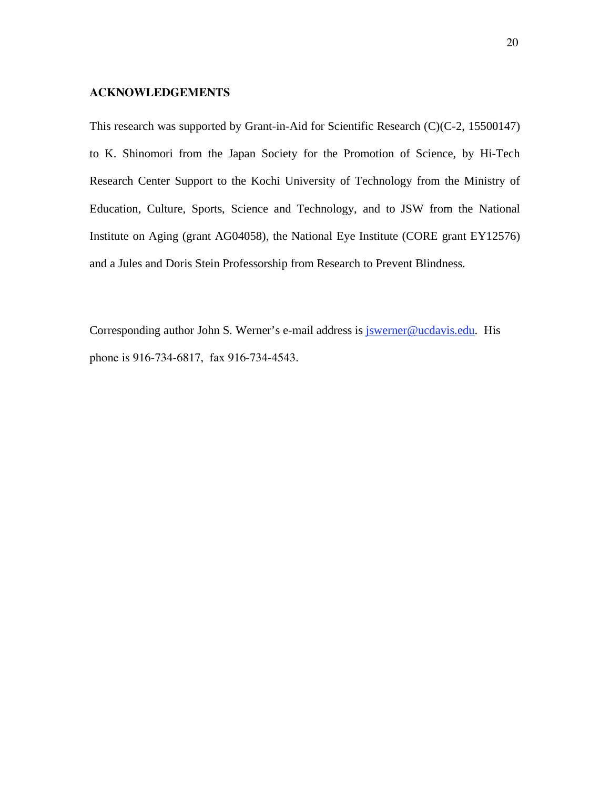# **ACKNOWLEDGEMENTS**

This research was supported by Grant-in-Aid for Scientific Research (C)(C-2, 15500147) to K. Shinomori from the Japan Society for the Promotion of Science, by Hi-Tech Research Center Support to the Kochi University of Technology from the Ministry of Education, Culture, Sports, Science and Technology, and to JSW from the National Institute on Aging (grant AG04058), the National Eye Institute (CORE grant EY12576) and a Jules and Doris Stein Professorship from Research to Prevent Blindness.

Corresponding author John S. Werner's e-mail address is *jswerner@ucdavis.edu*. His phone is 916-734-6817, fax 916-734-4543.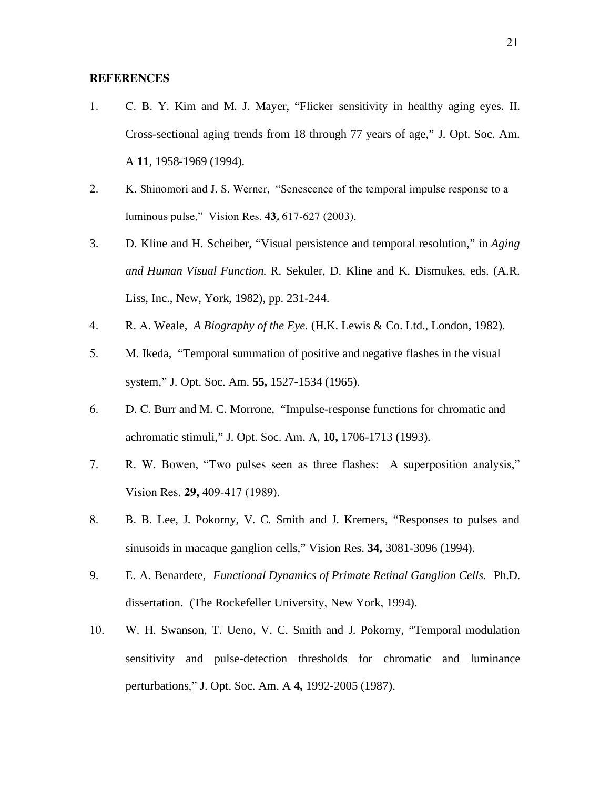# **REFERENCES**

- 1. C. B. Y. Kim and M. J. Mayer, "Flicker sensitivity in healthy aging eyes. II. Cross-sectional aging trends from 18 through 77 years of age," J. Opt. Soc. Am. A **11***,* 1958-1969 (1994).
- 2. K. Shinomori and J. S. Werner, "Senescence of the temporal impulse response to a luminous pulse," Vision Res. **43***,* 617-627 (2003).
- 3. D. Kline and H. Scheiber, "Visual persistence and temporal resolution," in *Aging and Human Visual Function.* R. Sekuler, D. Kline and K. Dismukes, eds. (A.R. Liss, Inc., New, York, 1982), pp. 231-244.
- 4. R. A. Weale, *A Biography of the Eye.* (H.K. Lewis & Co. Ltd., London, 1982).
- 5. M. Ikeda, "Temporal summation of positive and negative flashes in the visual system," J. Opt. Soc. Am. **55,** 1527-1534 (1965).
- 6. D. C. Burr and M. C. Morrone, "Impulse-response functions for chromatic and achromatic stimuli," J. Opt. Soc. Am. A, **10,** 1706-1713 (1993).
- 7. R. W. Bowen, "Two pulses seen as three flashes: A superposition analysis," Vision Res. **29,** 409-417 (1989).
- 8. B. B. Lee, J. Pokorny, V. C. Smith and J. Kremers, "Responses to pulses and sinusoids in macaque ganglion cells," Vision Res. **34,** 3081-3096 (1994).
- 9. E. A. Benardete, *Functional Dynamics of Primate Retinal Ganglion Cells.* Ph.D. dissertation. (The Rockefeller University, New York, 1994).
- 10. W. H. Swanson, T. Ueno, V. C. Smith and J. Pokorny, "Temporal modulation sensitivity and pulse-detection thresholds for chromatic and luminance perturbations," J. Opt. Soc. Am. A **4,** 1992-2005 (1987).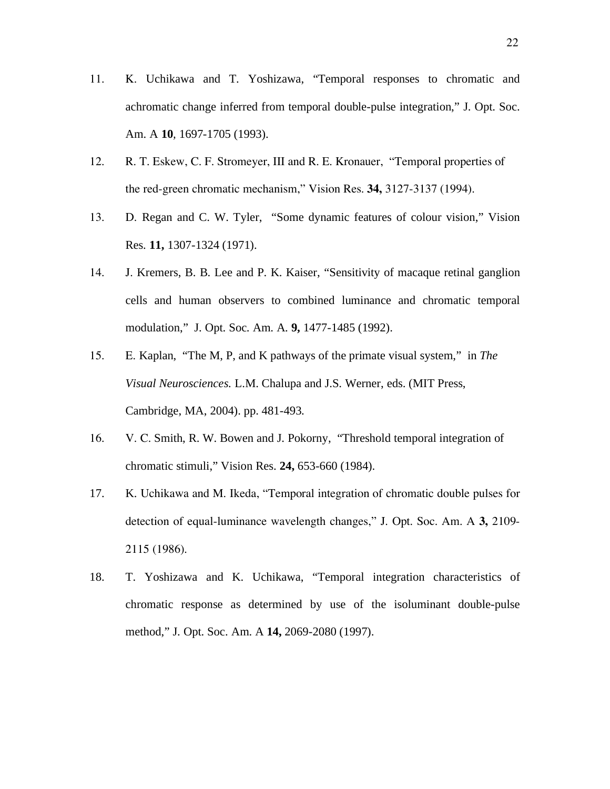- 11. K. Uchikawa and T. Yoshizawa, "Temporal responses to chromatic and achromatic change inferred from temporal double-pulse integration," J. Opt. Soc. Am. A **10***,* 1697-1705 (1993).
- 12. R. T. Eskew, C. F. Stromeyer, III and R. E. Kronauer, "Temporal properties of the red-green chromatic mechanism," Vision Res. **34,** 3127-3137 (1994).
- 13. D. Regan and C. W. Tyler, "Some dynamic features of colour vision," Vision Res. **11,** 1307-1324 (1971).
- 14. J. Kremers, B. B. Lee and P. K. Kaiser, "Sensitivity of macaque retinal ganglion cells and human observers to combined luminance and chromatic temporal modulation," J. Opt. Soc. Am. A. **9,** 1477-1485 (1992).
- 15. E. Kaplan, "The M, P, and K pathways of the primate visual system," in *The Visual Neurosciences.* L.M. Chalupa and J.S. Werner, eds. (MIT Press, Cambridge, MA, 2004). pp. 481-493.
- 16. V. C. Smith, R. W. Bowen and J. Pokorny, "Threshold temporal integration of chromatic stimuli," Vision Res. **24,** 653-660 (1984).
- 17. K. Uchikawa and M. Ikeda, "Temporal integration of chromatic double pulses for detection of equal-luminance wavelength changes," J. Opt. Soc. Am. A **3,** 2109- 2115 (1986).
- 18. T. Yoshizawa and K. Uchikawa, "Temporal integration characteristics of chromatic response as determined by use of the isoluminant double-pulse method," J. Opt. Soc. Am. A **14,** 2069-2080 (1997).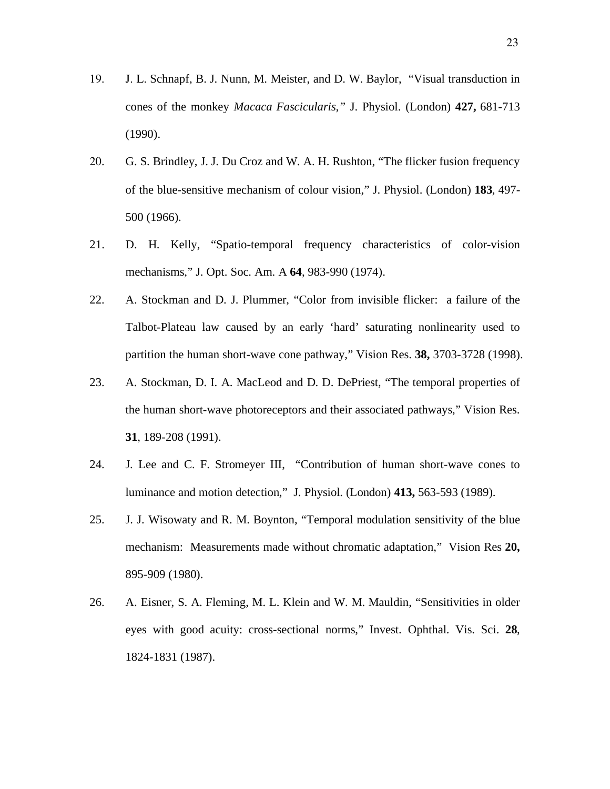- 19. J. L. Schnapf, B. J. Nunn, M. Meister, and D. W. Baylor, "Visual transduction in cones of the monkey *Macaca Fascicularis,"* J. Physiol. (London) **427,** 681-713 (1990).
- 20. G. S. Brindley, J. J. Du Croz and W. A. H. Rushton, "The flicker fusion frequency of the blue-sensitive mechanism of colour vision," J. Physiol. (London) **183**, 497- 500 (1966).
- 21. D. H. Kelly, "Spatio-temporal frequency characteristics of color-vision mechanisms," J. Opt. Soc. Am. A **64**, 983-990 (1974).
- 22. A. Stockman and D. J. Plummer, "Color from invisible flicker: a failure of the Talbot-Plateau law caused by an early 'hard' saturating nonlinearity used to partition the human short-wave cone pathway," Vision Res. **38,** 3703-3728 (1998).
- 23. A. Stockman, D. I. A. MacLeod and D. D. DePriest, "The temporal properties of the human short-wave photoreceptors and their associated pathways," Vision Res. **31**, 189-208 (1991).
- 24. J. Lee and C. F. Stromeyer III, "Contribution of human short-wave cones to luminance and motion detection," J. Physiol. (London) **413,** 563-593 (1989).
- 25. J. J. Wisowaty and R. M. Boynton, "Temporal modulation sensitivity of the blue mechanism: Measurements made without chromatic adaptation," Vision Res **20,** 895-909 (1980).
- 26. A. Eisner, S. A. Fleming, M. L. Klein and W. M. Mauldin, "Sensitivities in older eyes with good acuity: cross-sectional norms," Invest. Ophthal. Vis. Sci. **28**, 1824-1831 (1987).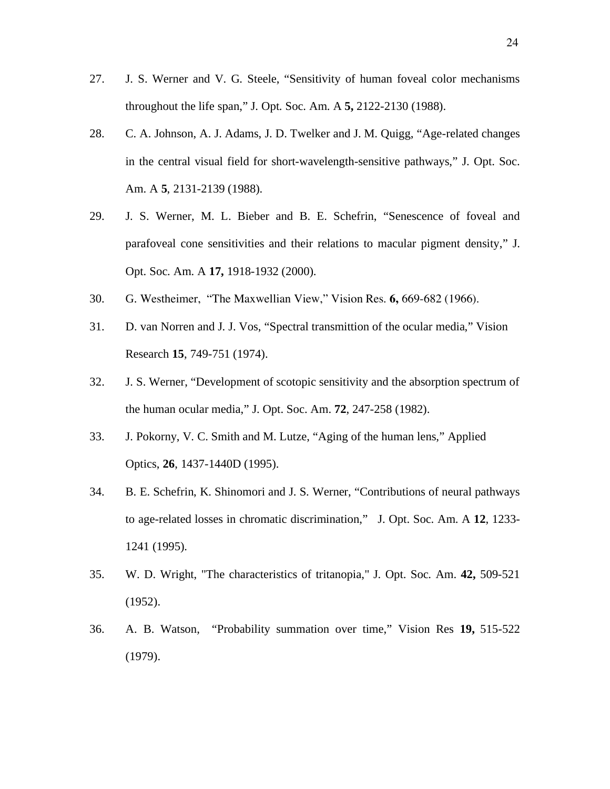- 27. J. S. Werner and V. G. Steele, "Sensitivity of human foveal color mechanisms throughout the life span," J. Opt. Soc. Am. A **5,** 2122-2130 (1988).
- 28. C. A. Johnson, A. J. Adams, J. D. Twelker and J. M. Quigg, "Age-related changes in the central visual field for short-wavelength-sensitive pathways," J. Opt. Soc. Am. A **5**, 2131-2139 (1988).
- 29. J. S. Werner, M. L. Bieber and B. E. Schefrin, "Senescence of foveal and parafoveal cone sensitivities and their relations to macular pigment density," J. Opt. Soc. Am. A **17,** 1918-1932 (2000).
- 30. G. Westheimer, "The Maxwellian View," Vision Res. **6,** 669-682 (1966).
- 31. D. van Norren and J. J. Vos, "Spectral transmittion of the ocular media," Vision Research **15**, 749-751 (1974).
- 32. J. S. Werner, "Development of scotopic sensitivity and the absorption spectrum of the human ocular media," J. Opt. Soc. Am. **72**, 247-258 (1982).
- 33. J. Pokorny, V. C. Smith and M. Lutze, "Aging of the human lens," Applied Optics, **26**, 1437-1440D (1995).
- 34. B. E. Schefrin, K. Shinomori and J. S. Werner, "Contributions of neural pathways to age-related losses in chromatic discrimination," J. Opt. Soc. Am. A **12**, 1233- 1241 (1995).
- 35. W. D. Wright, "The characteristics of tritanopia," J. Opt. Soc. Am. **42,** 509-521 (1952).
- 36. A. B. Watson, "Probability summation over time," Vision Res **19,** 515-522 (1979).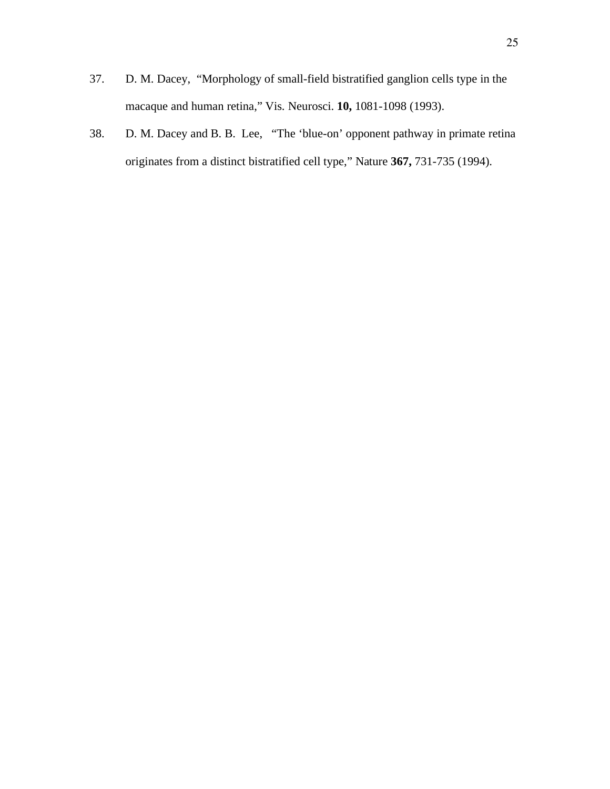- 37. D. M. Dacey, "Morphology of small-field bistratified ganglion cells type in the macaque and human retina," Vis. Neurosci. **10,** 1081-1098 (1993).
- 38. D. M. Dacey and B. B. Lee, "The 'blue-on' opponent pathway in primate retina originates from a distinct bistratified cell type," Nature **367,** 731-735 (1994).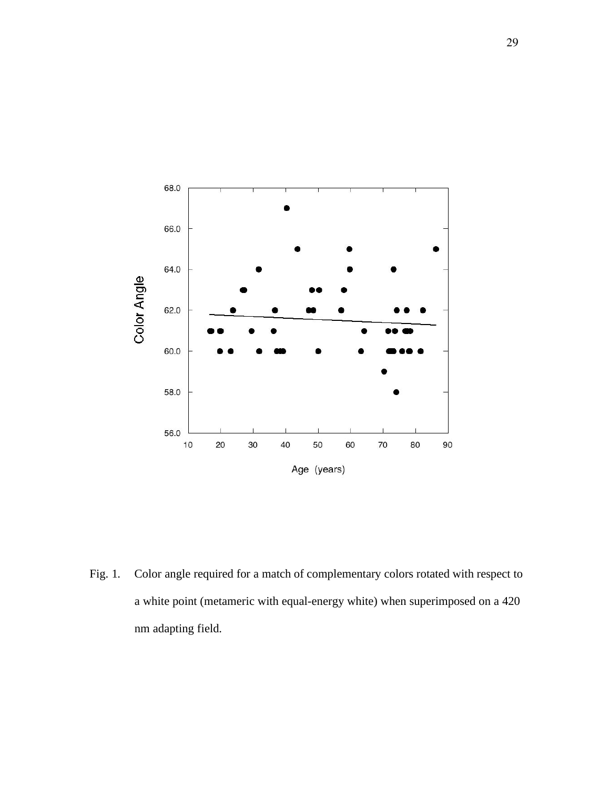

Fig. 1. Color angle required for a match of complementary colors rotated with respect to a white point (metameric with equal-energy white) when superimposed on a 420 nm adapting field.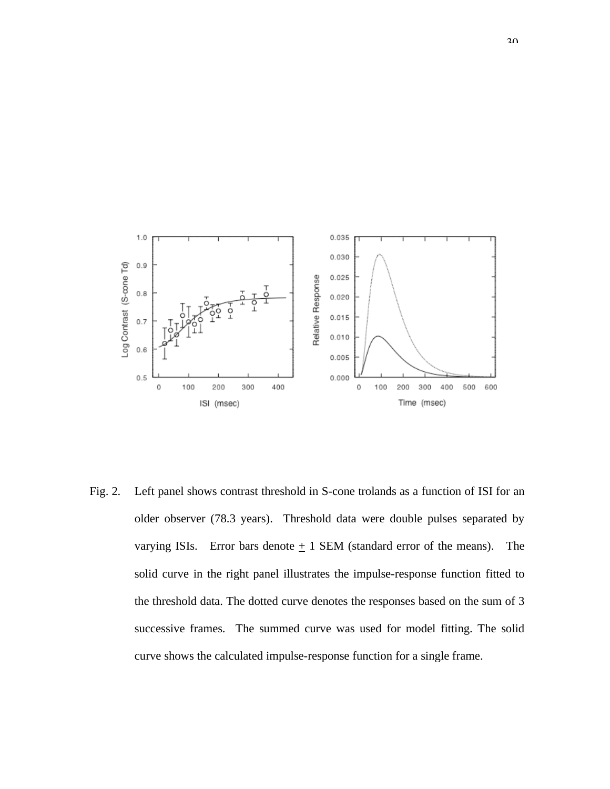

Fig. 2. Left panel shows contrast threshold in S-cone trolands as a function of ISI for an older observer (78.3 years). Threshold data were double pulses separated by varying ISIs. Error bars denote  $\pm$  1 SEM (standard error of the means). The solid curve in the right panel illustrates the impulse-response function fitted to the threshold data. The dotted curve denotes the responses based on the sum of 3 successive frames. The summed curve was used for model fitting. The solid curve shows the calculated impulse-response function for a single frame.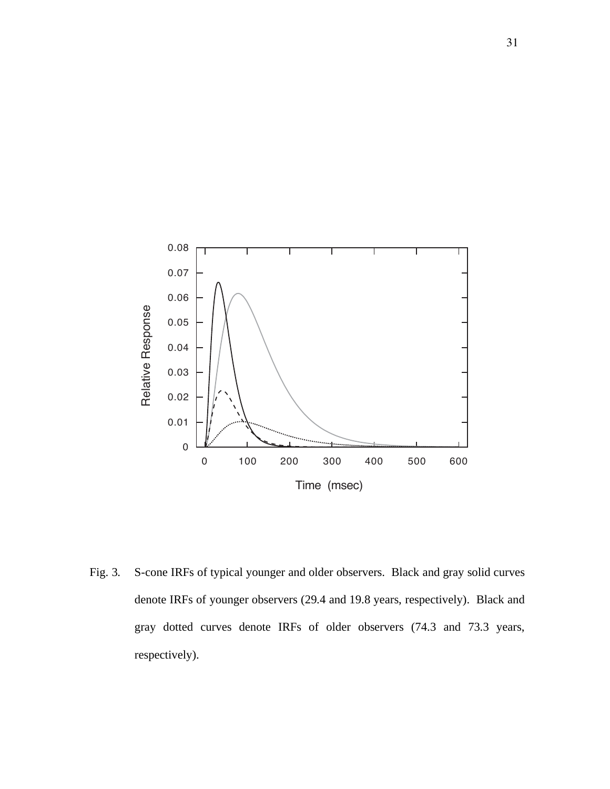

Fig. 3. S-cone IRFs of typical younger and older observers. Black and gray solid curves denote IRFs of younger observers (29.4 and 19.8 years, respectively). Black and gray dotted curves denote IRFs of older observers (74.3 and 73.3 years, respectively).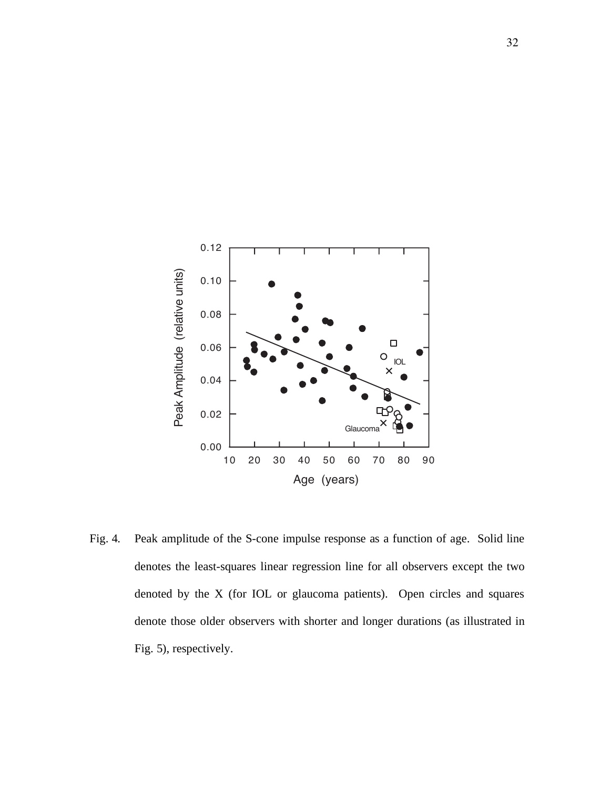

Fig. 4. Peak amplitude of the S-cone impulse response as a function of age. Solid line denotes the least-squares linear regression line for all observers except the two denoted by the X (for IOL or glaucoma patients). Open circles and squares denote those older observers with shorter and longer durations (as illustrated in Fig. 5), respectively.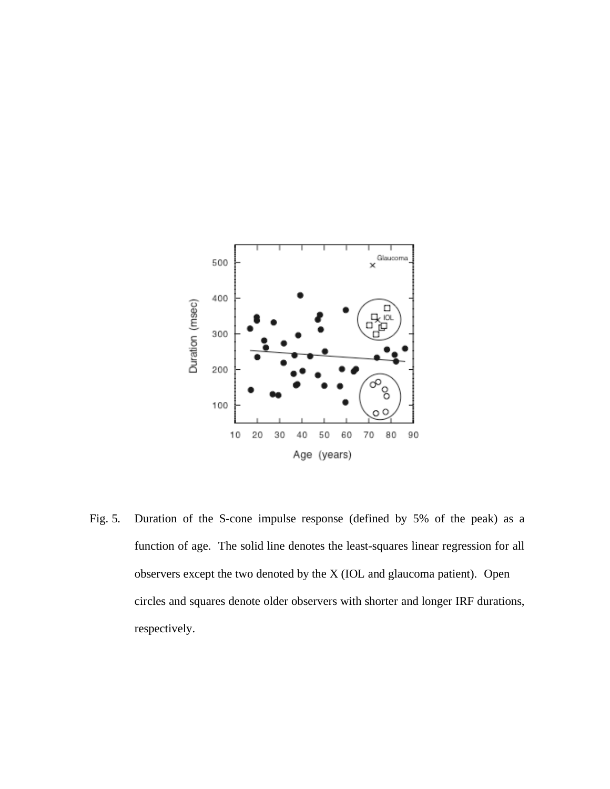

Fig. 5. Duration of the S-cone impulse response (defined by 5% of the peak) as a function of age. The solid line denotes the least-squares linear regression for all observers except the two denoted by the X (IOL and glaucoma patient). Open circles and squares denote older observers with shorter and longer IRF durations, respectively.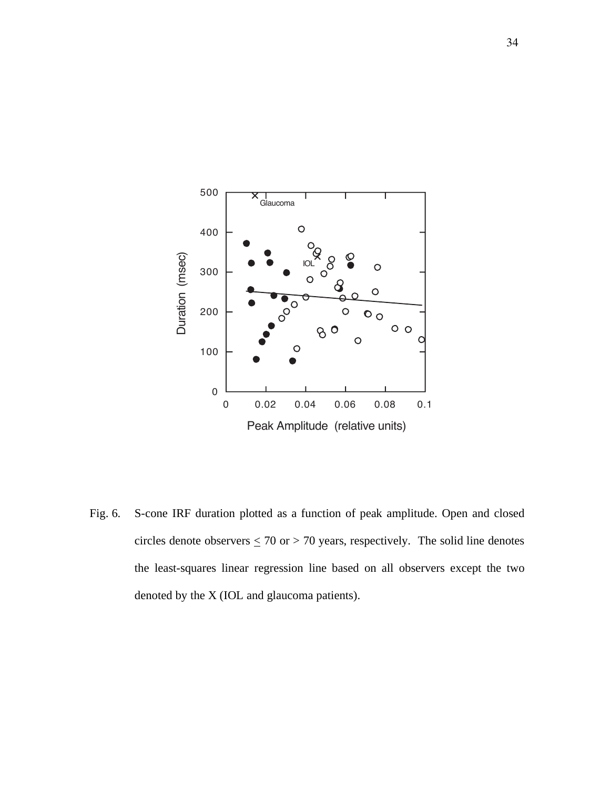

Fig. 6. S-cone IRF duration plotted as a function of peak amplitude. Open and closed circles denote observers  $\leq$  70 or  $>$  70 years, respectively. The solid line denotes the least-squares linear regression line based on all observers except the two denoted by the X (IOL and glaucoma patients).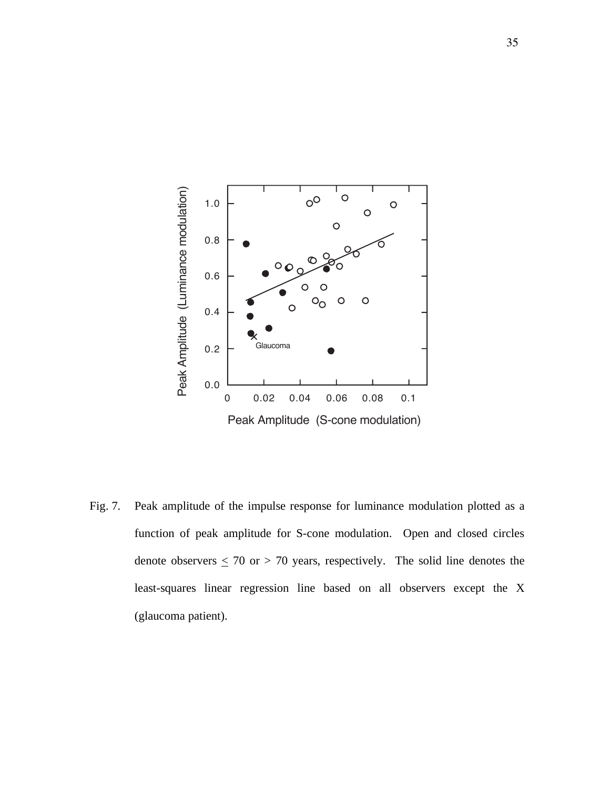

Fig. 7. Peak amplitude of the impulse response for luminance modulation plotted as a function of peak amplitude for S-cone modulation. Open and closed circles denote observers  $\leq$  70 or  $>$  70 years, respectively. The solid line denotes the least-squares linear regression line based on all observers except the X (glaucoma patient).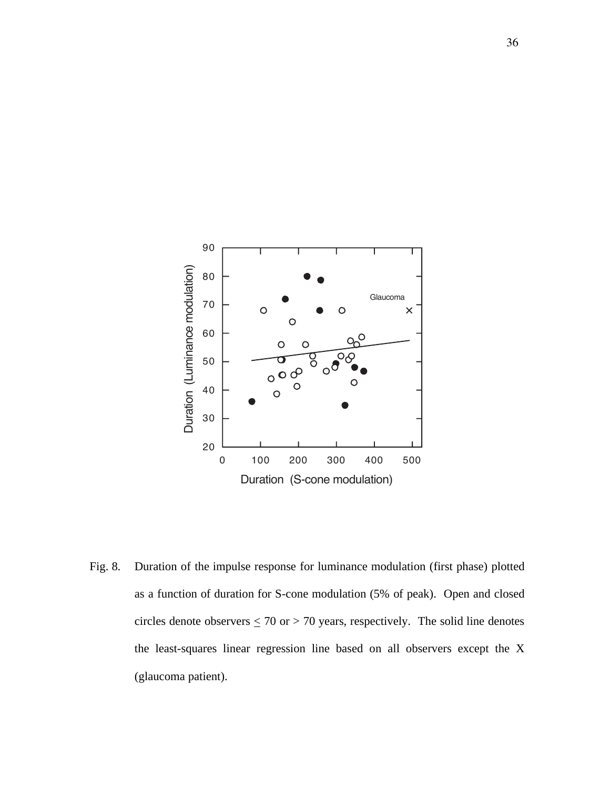

Fig. 8. Duration of the impulse response for luminance modulation (first phase) plotted as a function of duration for S-cone modulation (5% of peak). Open and closed circles denote observers  $\leq$  70 or  $>$  70 years, respectively. The solid line denotes the least-squares linear regression line based on all observers except the X (glaucoma patient).